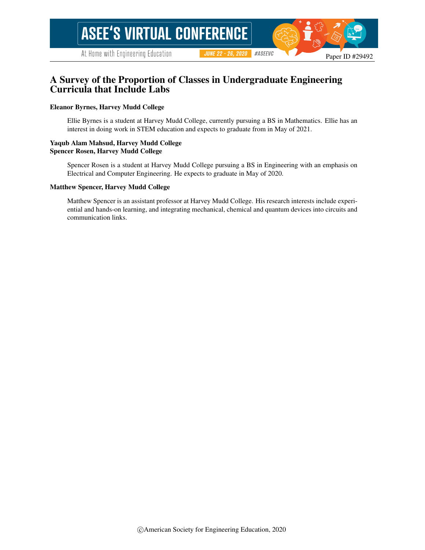# A Survey of the Proportion of Classes in Undergraduate Engineering Curricula that Include Labs

#### Eleanor Byrnes, Harvey Mudd College

Ellie Byrnes is a student at Harvey Mudd College, currently pursuing a BS in Mathematics. Ellie has an interest in doing work in STEM education and expects to graduate from in May of 2021.

#### Yaqub Alam Mahsud, Harvey Mudd College Spencer Rosen, Harvey Mudd College

Spencer Rosen is a student at Harvey Mudd College pursuing a BS in Engineering with an emphasis on Electrical and Computer Engineering. He expects to graduate in May of 2020.

#### Matthew Spencer, Harvey Mudd College

Matthew Spencer is an assistant professor at Harvey Mudd College. His research interests include experiential and hands-on learning, and integrating mechanical, chemical and quantum devices into circuits and communication links.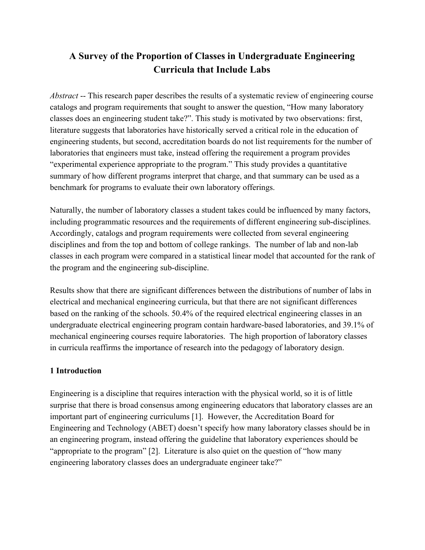# **A Survey of the Proportion of Classes in Undergraduate Engineering Curricula that Include Labs**

*Abstract* -- This research paper describes the results of a systematic review of engineering course catalogs and program requirements that sought to answer the question, "How many laboratory classes does an engineering student take?". This study is motivated by two observations: first, literature suggests that laboratories have historically served a critical role in the education of engineering students, but second, accreditation boards do not list requirements for the number of laboratories that engineers must take, instead offering the requirement a program provides "experimental experience appropriate to the program." This study provides a quantitative summary of how different programs interpret that charge, and that summary can be used as a benchmark for programs to evaluate their own laboratory offerings.

Naturally, the number of laboratory classes a student takes could be influenced by many factors, including programmatic resources and the requirements of different engineering sub-disciplines. Accordingly, catalogs and program requirements were collected from several engineering disciplines and from the top and bottom of college rankings. The number of lab and non-lab classes in each program were compared in a statistical linear model that accounted for the rank of the program and the engineering sub-discipline.

Results show that there are significant differences between the distributions of number of labs in electrical and mechanical engineering curricula, but that there are not significant differences based on the ranking of the schools. 50.4% of the required electrical engineering classes in an undergraduate electrical engineering program contain hardware-based laboratories, and 39.1% of mechanical engineering courses require laboratories. The high proportion of laboratory classes in curricula reaffirms the importance of research into the pedagogy of laboratory design.

# **1 Introduction**

Engineering is a discipline that requires interaction with the physical world, so it is of little surprise that there is broad consensus among engineering educators that laboratory classes are an important part of engineering curriculums [\[1\]](https://www.zotero.org/google-docs/?nZNLyw). However, the Accreditation Board for Engineering and Technology (ABET) doesn't specify how many laboratory classes should be in an engineering program, instead offering the guideline that laboratory experiences should be "appropriate to the program" [\[2\].](https://www.zotero.org/google-docs/?fAto1p) Literature is also quiet on the question of "how many engineering laboratory classes does an undergraduate engineer take?"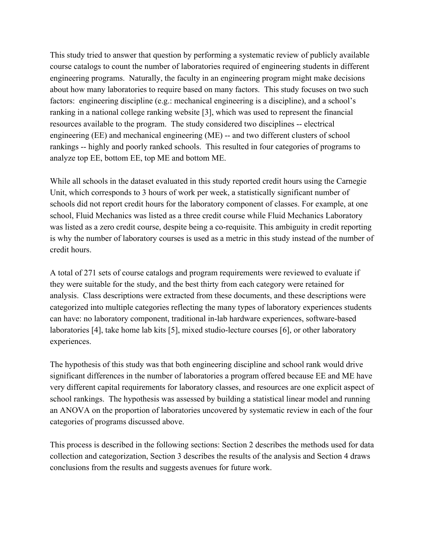This study tried to answer that question by performing a systematic review of publicly available course catalogs to count the number of laboratories required of engineering students in different engineering programs. Naturally, the faculty in an engineering program might make decisions about how many laboratories to require based on many factors. This study focuses on two such factors: engineering discipline (e.g.: mechanical engineering is a discipline), and a school's ranking in a national college ranking website [\[3\],](https://www.zotero.org/google-docs/?bWiYpX) which was used to represent the financial resources available to the program. The study considered two disciplines -- electrical engineering (EE) and mechanical engineering (ME) -- and two different clusters of school rankings -- highly and poorly ranked schools. This resulted in four categories of programs to analyze top EE, bottom EE, top ME and bottom ME.

While all schools in the dataset evaluated in this study reported credit hours using the Carnegie Unit, which corresponds to 3 hours of work per week, a statistically significant number of schools did not report credit hours for the laboratory component of classes. For example, at one school, Fluid Mechanics was listed as a three credit course while Fluid Mechanics Laboratory was listed as a zero credit course, despite being a co-requisite. This ambiguity in credit reporting is why the number of laboratory courses is used as a metric in this study instead of the number of credit hours.

A total of 271 sets of course catalogs and program requirements were reviewed to evaluate if they were suitable for the study, and the best thirty from each category were retained for analysis. Class descriptions were extracted from these documents, and these descriptions were categorized into multiple categories reflecting the many types of laboratory experiences students can have: no laboratory component, traditional in-lab hardware experiences, software-based laboratories [\[4\],](https://www.zotero.org/google-docs/?gt1F9a) take home lab kits [\[5\]](https://www.zotero.org/google-docs/?TB7xwy), mixed studio-lecture courses [\[6\]](https://www.zotero.org/google-docs/?LGl9wv), or other laboratory experiences.

The hypothesis of this study was that both engineering discipline and school rank would drive significant differences in the number of laboratories a program offered because EE and ME have very different capital requirements for laboratory classes, and resources are one explicit aspect of school rankings. The hypothesis was assessed by building a statistical linear model and running an ANOVA on the proportion of laboratories uncovered by systematic review in each of the four categories of programs discussed above.

This process is described in the following sections: Section 2 describes the methods used for data collection and categorization, Section 3 describes the results of the analysis and Section 4 draws conclusions from the results and suggests avenues for future work.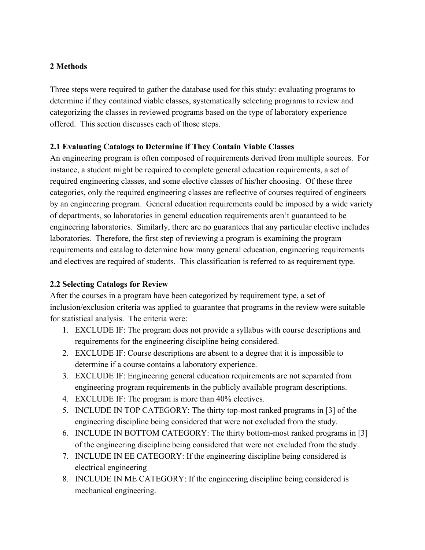### **2 Methods**

Three steps were required to gather the database used for this study: evaluating programs to determine if they contained viable classes, systematically selecting programs to review and categorizing the classes in reviewed programs based on the type of laboratory experience offered. This section discusses each of those steps.

### **2.1 Evaluating Catalogs to Determine if They Contain Viable Classes**

An engineering program is often composed of requirements derived from multiple sources. For instance, a student might be required to complete general education requirements, a set of required engineering classes, and some elective classes of his/her choosing. Of these three categories, only the required engineering classes are reflective of courses required of engineers by an engineering program. General education requirements could be imposed by a wide variety of departments, so laboratories in general education requirements aren't guaranteed to be engineering laboratories. Similarly, there are no guarantees that any particular elective includes laboratories. Therefore, the first step of reviewing a program is examining the program requirements and catalog to determine how many general education, engineering requirements and electives are required of students. This classification is referred to as requirement type.

### **2.2 Selecting Catalogs for Review**

After the courses in a program have been categorized by requirement type, a set of inclusion/exclusion criteria was applied to guarantee that programs in the review were suitable for statistical analysis. The criteria were:

- 1. EXCLUDE IF: The program does not provide a syllabus with course descriptions and requirements for the engineering discipline being considered.
- 2. EXCLUDE IF: Course descriptions are absent to a degree that it is impossible to determine if a course contains a laboratory experience.
- 3. EXCLUDE IF: Engineering general education requirements are not separated from engineering program requirements in the publicly available program descriptions.
- 4. EXCLUDE IF: The program is more than 40% electives.
- 5. INCLUDE IN TOP CATEGORY: The thirty top-most ranked programs in [\[3\]](https://www.zotero.org/google-docs/?8qbfGn) of the engineering discipline being considered that were not excluded from the study.
- 6. INCLUDE IN BOTTOM CATEGORY: The thirty bottom-most ranked programs in [\[3\]](https://www.zotero.org/google-docs/?eaDyD3) of the engineering discipline being considered that were not excluded from the study.
- 7. INCLUDE IN EE CATEGORY: If the engineering discipline being considered is electrical engineering
- 8. INCLUDE IN ME CATEGORY: If the engineering discipline being considered is mechanical engineering.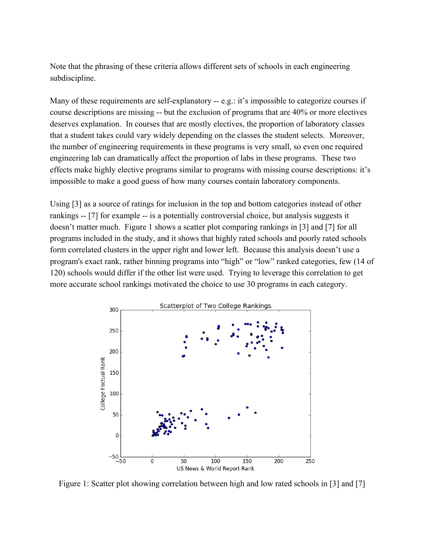Note that the phrasing of these criteria allows different sets of schools in each engineering subdiscipline.

Many of these requirements are self-explanatory -- e.g.: it's impossible to categorize courses if course descriptions are missing -- but the exclusion of programs that are 40% or more electives deserves explanation. In courses that are mostly electives, the proportion of laboratory classes that a student takes could vary widely depending on the classes the student selects. Moreover, the number of engineering requirements in these programs is very small, so even one required engineering lab can dramatically affect the proportion of labs in these programs. These two effects make highly elective programs similar to programs with missing course descriptions: it's impossible to make a good guess of how many courses contain laboratory components.

Using [\[3\]](https://www.zotero.org/google-docs/?LT3sQw) as a source of ratings for inclusion in the top and bottom categories instead of other rankings -- [\[7\]](https://www.zotero.org/google-docs/?2wcEK1) for example -- is a potentially controversial choice, but analysis suggests it doesn't matter much. Figure 1 shows a scatter plot comparing rankings in [\[3\]](https://www.zotero.org/google-docs/?k4y13E) and [\[7\]](https://www.zotero.org/google-docs/?D5Ydq0) for all programs included in the study, and it shows that highly rated schools and poorly rated schools form correlated clusters in the upper right and lower left. Because this analysis doesn't use a program's exact rank, rather binning programs into "high" or "low" ranked categories, few (14 of 120) schools would differ if the other list were used. Trying to leverage this correlation to get more accurate school rankings motivated the choice to use 30 programs in each category.



Figure 1: Scatter plot showing correlation between high and low rated schools in [\[3\]](https://www.zotero.org/google-docs/?iIphC1) and [\[7\]](https://www.zotero.org/google-docs/?0mBc2i)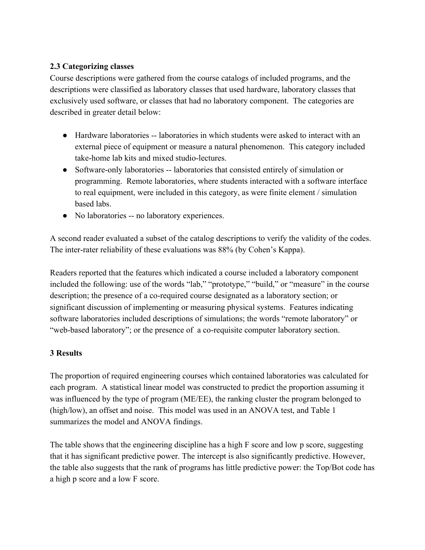# **2.3 Categorizing classes**

Course descriptions were gathered from the course catalogs of included programs, and the descriptions were classified as laboratory classes that used hardware, laboratory classes that exclusively used software, or classes that had no laboratory component. The categories are described in greater detail below:

- Hardware laboratories -- laboratories in which students were asked to interact with an external piece of equipment or measure a natural phenomenon. This category included take-home lab kits and mixed studio-lectures.
- Software-only laboratories -- laboratories that consisted entirely of simulation or programming. Remote laboratories, where students interacted with a software interface to real equipment, were included in this category, as were finite element / simulation based labs.
- No laboratories -- no laboratory experiences.

A second reader evaluated a subset of the catalog descriptions to verify the validity of the codes. The inter-rater reliability of these evaluations was 88% (by Cohen's Kappa).

Readers reported that the features which indicated a course included a laboratory component included the following: use of the words "lab," "prototype," "build," or "measure" in the course description; the presence of a co-required course designated as a laboratory section; or significant discussion of implementing or measuring physical systems. Features indicating software laboratories included descriptions of simulations; the words "remote laboratory" or "web-based laboratory"; or the presence of a co-requisite computer laboratory section.

### **3 Results**

The proportion of required engineering courses which contained laboratories was calculated for each program. A statistical linear model was constructed to predict the proportion assuming it was influenced by the type of program (ME/EE), the ranking cluster the program belonged to (high/low), an offset and noise. This model was used in an ANOVA test, and Table 1 summarizes the model and ANOVA findings.

The table shows that the engineering discipline has a high F score and low p score, suggesting that it has significant predictive power. The intercept is also significantly predictive. However, the table also suggests that the rank of programs has little predictive power: the Top/Bot code has a high p score and a low F score.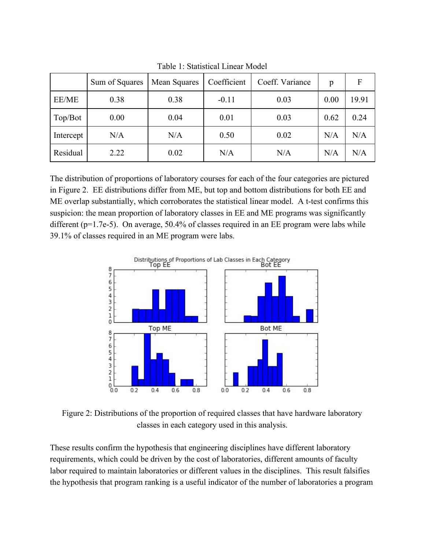|           | Sum of Squares | Mean Squares | Coefficient | Coeff. Variance | p    | F     |
|-----------|----------------|--------------|-------------|-----------------|------|-------|
| EE/ME     | 0.38           | 0.38         | $-0.11$     | 0.03            | 0.00 | 19.91 |
| Top/Bot   | 0.00           | 0.04         | 0.01        | 0.03            | 0.62 | 0.24  |
| Intercept | N/A            | N/A          | 0.50        | 0.02            | N/A  | N/A   |
| Residual  | 2.22           | 0.02         | N/A         | N/A             | N/A  | N/A   |

Table 1: Statistical Linear Model

The distribution of proportions of laboratory courses for each of the four categories are pictured in Figure 2. EE distributions differ from ME, but top and bottom distributions for both EE and ME overlap substantially, which corroborates the statistical linear model. A t-test confirms this suspicion: the mean proportion of laboratory classes in EE and ME programs was significantly different (p=1.7e-5). On average, 50.4% of classes required in an EE program were labs while 39.1% of classes required in an ME program were labs.



Figure 2: Distributions of the proportion of required classes that have hardware laboratory classes in each category used in this analysis.

These results confirm the hypothesis that engineering disciplines have different laboratory requirements, which could be driven by the cost of laboratories, different amounts of faculty labor required to maintain laboratories or different values in the disciplines. This result falsifies the hypothesis that program ranking is a useful indicator of the number of laboratories a program